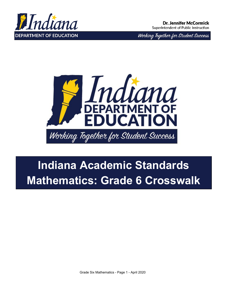

Working Together for Student Success



# **Indiana Academic Standards Mathematics: Grade 6 Crosswalk**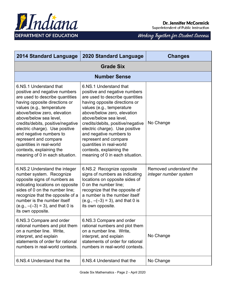

| <b>2014 Standard Language</b>                                                                                                                                                                                                                                                                                                                                                                                                           | <b>2020 Standard Language</b>                                                                                                                                                                                                                                                                                                                                                                                                           | <b>Changes</b>                                  |  |
|-----------------------------------------------------------------------------------------------------------------------------------------------------------------------------------------------------------------------------------------------------------------------------------------------------------------------------------------------------------------------------------------------------------------------------------------|-----------------------------------------------------------------------------------------------------------------------------------------------------------------------------------------------------------------------------------------------------------------------------------------------------------------------------------------------------------------------------------------------------------------------------------------|-------------------------------------------------|--|
| <b>Grade Six</b>                                                                                                                                                                                                                                                                                                                                                                                                                        |                                                                                                                                                                                                                                                                                                                                                                                                                                         |                                                 |  |
|                                                                                                                                                                                                                                                                                                                                                                                                                                         | <b>Number Sense</b>                                                                                                                                                                                                                                                                                                                                                                                                                     |                                                 |  |
| 6.NS.1 Understand that<br>positive and negative numbers<br>are used to describe quantities<br>having opposite directions or<br>values (e.g., temperature<br>above/below zero, elevation<br>above/below sea level,<br>credits/debits, positive/negative<br>electric charge). Use positive<br>and negative numbers to<br>represent and compare<br>quantities in real-world<br>contexts, explaining the<br>meaning of 0 in each situation. | 6.NS.1 Understand that<br>positive and negative numbers<br>are used to describe quantities<br>having opposite directions or<br>values (e.g., temperature<br>above/below zero, elevation<br>above/below sea level,<br>credits/debits, positive/negative<br>electric charge). Use positive<br>and negative numbers to<br>represent and compare<br>quantities in real-world<br>contexts, explaining the<br>meaning of 0 in each situation. | No Change                                       |  |
| 6.NS.2 Understand the integer<br>number system. Recognize<br>opposite signs of numbers as<br>indicating locations on opposite<br>sides of 0 on the number line;<br>recognize that the opposite of a<br>number is the number itself<br>$(e.g., -(3) = 3)$ , and that 0 is<br>its own opposite.                                                                                                                                           | 6.NS.2 Recognize opposite<br>signs of numbers as indicating<br>locations on opposite sides of<br>0 on the number line;<br>recognize that the opposite of<br>a number is the number itself<br>$(e.g., -(-3) = 3)$ , and that 0 is<br>its own opposite.                                                                                                                                                                                   | Removed understand the<br>integer number system |  |
| 6.NS.3 Compare and order<br>rational numbers and plot them<br>on a number line. Write,<br>interpret, and explain<br>statements of order for rational<br>numbers in real-world contexts.                                                                                                                                                                                                                                                 | 6.NS.3 Compare and order<br>rational numbers and plot them<br>on a number line. Write,<br>interpret, and explain<br>statements of order for rational<br>numbers in real-world contexts.                                                                                                                                                                                                                                                 | No Change                                       |  |
| 6.NS.4 Understand that the                                                                                                                                                                                                                                                                                                                                                                                                              | 6.NS.4 Understand that the                                                                                                                                                                                                                                                                                                                                                                                                              | No Change                                       |  |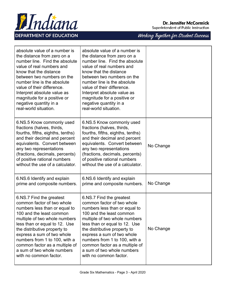

| absolute value of a number is<br>the distance from zero on a<br>number line. Find the absolute<br>value of real numbers and<br>know that the distance<br>between two numbers on the<br>number line is the absolute<br>value of their difference.<br>Interpret absolute value as<br>magnitude for a positive or<br>negative quantity in a<br>real-world situation.              | absolute value of a number is<br>the distance from zero on a<br>number line. Find the absolute<br>value of real numbers and<br>know that the distance<br>between two numbers on the<br>number line is the absolute<br>value of their difference.<br>Interpret absolute value as<br>magnitude for a positive or<br>negative quantity in a<br>real-world situation.              |           |
|--------------------------------------------------------------------------------------------------------------------------------------------------------------------------------------------------------------------------------------------------------------------------------------------------------------------------------------------------------------------------------|--------------------------------------------------------------------------------------------------------------------------------------------------------------------------------------------------------------------------------------------------------------------------------------------------------------------------------------------------------------------------------|-----------|
| 6.NS.5 Know commonly used<br>fractions (halves, thirds,<br>fourths, fifths, eighths, tenths)<br>and their decimal and percent<br>equivalents. Convert between<br>any two representations<br>(fractions, decimals, percents)<br>of positive rational numbers<br>without the use of a calculator.                                                                                | 6.NS.5 Know commonly used<br>fractions (halves, thirds,<br>fourths, fifths, eighths, tenths)<br>and their decimal and percent<br>equivalents. Convert between<br>any two representations<br>(fractions, decimals, percents)<br>of positive rational numbers<br>without the use of a calculator.                                                                                | No Change |
| 6.NS.6 Identify and explain<br>prime and composite numbers.                                                                                                                                                                                                                                                                                                                    | 6.NS.6 Identify and explain<br>prime and composite numbers.                                                                                                                                                                                                                                                                                                                    | No Change |
| 6.NS.7 Find the greatest<br>common factor of two whole<br>numbers less than or equal to<br>100 and the least common<br>multiple of two whole numbers<br>less than or equal to 12. Use<br>the distributive property to<br>express a sum of two whole<br>numbers from 1 to 100, with a<br>common factor as a multiple of<br>a sum of two whole numbers<br>with no common factor. | 6.NS.7 Find the greatest<br>common factor of two whole<br>numbers less than or equal to<br>100 and the least common<br>multiple of two whole numbers<br>less than or equal to 12. Use<br>the distributive property to<br>express a sum of two whole<br>numbers from 1 to 100, with a<br>common factor as a multiple of<br>a sum of two whole numbers<br>with no common factor. | No Change |

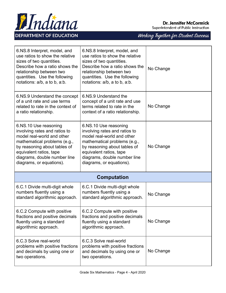

**DEPARTMENT OF EDUCATION** 

#### **Dr. Jennifer McCormick**

Superintendent of Public Instruction

| 6.NS.8 Interpret, model, and<br>use ratios to show the relative<br>sizes of two quantities.<br>Describe how a ratio shows the<br>relationship between two<br>quantities. Use the following<br>notations: a/b, a to b, a:b.                  | 6.NS.8 Interpret, model, and<br>use ratios to show the relative<br>sizes of two quantities.<br>Describe how a ratio shows the<br>relationship between two<br>quantities. Use the following<br>notations: a/b, a to b, a:b.                  | No Change |
|---------------------------------------------------------------------------------------------------------------------------------------------------------------------------------------------------------------------------------------------|---------------------------------------------------------------------------------------------------------------------------------------------------------------------------------------------------------------------------------------------|-----------|
| 6.NS.9 Understand the concept<br>of a unit rate and use terms<br>related to rate in the context of<br>a ratio relationship.                                                                                                                 | 6.NS.9 Understand the<br>concept of a unit rate and use<br>terms related to rate in the<br>context of a ratio relationship.                                                                                                                 | No Change |
| 6.NS.10 Use reasoning<br>involving rates and ratios to<br>model real-world and other<br>mathematical problems (e.g.,<br>by reasoning about tables of<br>equivalent ratios, tape<br>diagrams, double number line<br>diagrams, or equations). | 6.NS.10 Use reasoning<br>involving rates and ratios to<br>model real-world and other<br>mathematical problems (e.g.,<br>by reasoning about tables of<br>equivalent ratios, tape<br>diagrams, double number line<br>diagrams, or equations). | No Change |
|                                                                                                                                                                                                                                             | <b>Computation</b>                                                                                                                                                                                                                          |           |
| 6.C.1 Divide multi-digit whole<br>numbers fluently using a<br>standard algorithmic approach.                                                                                                                                                | 6.C.1 Divide multi-digit whole<br>numbers fluently using a<br>standard algorithmic approach.                                                                                                                                                | No Change |
| 6.C.2 Compute with positive<br>fractions and positive decimals<br>fluently using a standard<br>algorithmic approach.                                                                                                                        | 6.C.2 Compute with positive<br>fractions and positive decimals<br>fluently using a standard<br>algorithmic approach.                                                                                                                        | No Change |
| 6.C.3 Solve real-world<br>problems with positive fractions<br>and decimals by using one or<br>two operations.                                                                                                                               | 6.C.3 Solve real-world<br>problems with positive fractions<br>and decimals by using one or<br>two operations.                                                                                                                               | No Change |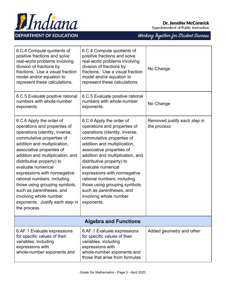

| 6.C.4 Compute quotients of<br>positive fractions and solve<br>real-world problems involving<br>division of fractions by<br>fractions. Use a visual fraction<br>model and/or equation to<br>represent these calculations.                                                                                                                                                                                                                                                             | 6.C.4 Compute quotients of<br>positive fractions and solve<br>real-world problems involving<br>division of fractions by<br>fractions. Use a visual fraction<br>model and/or equation to<br>represent these calculations.                                                                                                                                                                                                                        | No Change                                   |
|--------------------------------------------------------------------------------------------------------------------------------------------------------------------------------------------------------------------------------------------------------------------------------------------------------------------------------------------------------------------------------------------------------------------------------------------------------------------------------------|-------------------------------------------------------------------------------------------------------------------------------------------------------------------------------------------------------------------------------------------------------------------------------------------------------------------------------------------------------------------------------------------------------------------------------------------------|---------------------------------------------|
| 6.C.5 Evaluate positive rational<br>numbers with whole-number<br>exponents.                                                                                                                                                                                                                                                                                                                                                                                                          | 6.C.5 Evaluate positive rational<br>numbers with whole-number<br>exponents.                                                                                                                                                                                                                                                                                                                                                                     | No Change                                   |
| 6.C.6 Apply the order of<br>operations and properties of<br>operations (identity, inverse,<br>commutative properties of<br>addition and multiplication,<br>associative properties of<br>addition and multiplication, and<br>distributive property) to<br>evaluate numerical<br>expressions with nonnegative<br>rational numbers, including<br>those using grouping symbols,<br>such as parentheses, and<br>involving whole number<br>exponents. Justify each step in<br>the process. | 6.C.6 Apply the order of<br>operations and properties of<br>operations (identity, inverse,<br>commutative properties of<br>addition and multiplication,<br>associative properties of<br>addition and multiplication, and<br>distributive property) to<br>evaluate numerical<br>expressions with nonnegative<br>rational numbers, including<br>those using grouping symbols,<br>such as parentheses, and<br>involving whole number<br>exponents. | Removed justify each step in<br>the process |
| <b>Algebra and Functions</b>                                                                                                                                                                                                                                                                                                                                                                                                                                                         |                                                                                                                                                                                                                                                                                                                                                                                                                                                 |                                             |
| 6.AF.1 Evaluate expressions<br>for specific values of their<br>variables, including<br>expressions with<br>whole-number exponents and                                                                                                                                                                                                                                                                                                                                                | 6.AF.1 Evaluate expressions<br>for specific values of their<br>variables, including<br>expressions with<br>whole-number exponents and<br>those that arise from formulas                                                                                                                                                                                                                                                                         | Added geometry and other                    |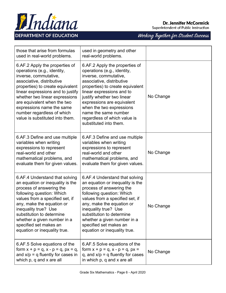



| those that arise from formulas<br>used in real-world problems.                                                                                                                                                                                                                                                                                              | used in geometry and other<br>real-world problems.                                                                                                                                                                                                                                                                                                             |           |
|-------------------------------------------------------------------------------------------------------------------------------------------------------------------------------------------------------------------------------------------------------------------------------------------------------------------------------------------------------------|----------------------------------------------------------------------------------------------------------------------------------------------------------------------------------------------------------------------------------------------------------------------------------------------------------------------------------------------------------------|-----------|
| 6.AF.2 Apply the properties of<br>operations (e.g., identity,<br>inverse, commutative,<br>associative, distributive<br>properties) to create equivalent<br>linear expressions and to justify<br>whether two linear expressions<br>are equivalent when the two<br>expressions name the same<br>number regardless of which<br>value is substituted into them. | 6.AF.2 Apply the properties of<br>operations (e.g., identity,<br>inverse, commutative,<br>associative, distributive<br>properties) to create equivalent<br>linear expressions and to<br>justify whether two linear<br>expressions are equivalent<br>when the two expressions<br>name the same number<br>regardless of which value is<br>substituted into them. | No Change |
| 6.AF.3 Define and use multiple<br>variables when writing<br>expressions to represent<br>real-world and other<br>mathematical problems, and<br>evaluate them for given values.                                                                                                                                                                               | 6.AF.3 Define and use multiple<br>variables when writing<br>expressions to represent<br>real-world and other<br>mathematical problems, and<br>evaluate them for given values.                                                                                                                                                                                  | No Change |
| 6.AF.4 Understand that solving<br>an equation or inequality is the<br>process of answering the<br>following question: Which<br>values from a specified set, if<br>any, make the equation or<br>inequality true? Use<br>substitution to determine<br>whether a given number in a<br>specified set makes an<br>equation or inequality true.                   | 6.AF.4 Understand that solving<br>an equation or inequality is the<br>process of answering the<br>following question: Which<br>values from a specified set, if<br>any, make the equation or<br>inequality true? Use<br>substitution to determine<br>whether a given number in a<br>specified set makes an<br>equation or inequality true.                      | No Change |
| 6.AF.5 Solve equations of the<br>form $x + p = q$ , $x - p = q$ , $px = q$ ,<br>and $x/p = q$ fluently for cases in<br>which p, q and x are all                                                                                                                                                                                                             | 6.AF.5 Solve equations of the<br>form $x + p = q$ , $x - p = q$ , $px =$<br>q, and $x/p = q$ fluently for cases<br>in which p, q and x are all                                                                                                                                                                                                                 | No Change |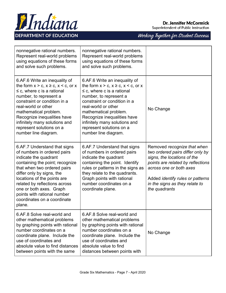

## **Dr. Jennifer McCormick**

Superintendent of Public Instruction

| nonnegative rational numbers.<br>Represent real-world problems<br>using equations of these forms<br>and solve such problems.                                                                                                                                                                                                                           | nonnegative rational numbers.<br>Represent real-world problems<br>using equations of these forms<br>and solve such problems.                                                                                                                                                                                                                    |                                                                                                                                                                                                                                                              |
|--------------------------------------------------------------------------------------------------------------------------------------------------------------------------------------------------------------------------------------------------------------------------------------------------------------------------------------------------------|-------------------------------------------------------------------------------------------------------------------------------------------------------------------------------------------------------------------------------------------------------------------------------------------------------------------------------------------------|--------------------------------------------------------------------------------------------------------------------------------------------------------------------------------------------------------------------------------------------------------------|
| 6.AF.6 Write an inequality of<br>the form $x > c$ , $x \ge c$ , $x < c$ , or x<br>$\leq$ c, where c is a rational<br>number, to represent a<br>constraint or condition in a<br>real-world or other<br>mathematical problem.<br>Recognize inequalities have<br>infinitely many solutions and<br>represent solutions on a<br>number line diagram.        | 6.AF.6 Write an inequality of<br>the form $x > c$ , $x \ge c$ , $x < c$ , or x<br>$\leq$ c, where c is a rational<br>number, to represent a<br>constraint or condition in a<br>real-world or other<br>mathematical problem.<br>Recognize inequalities have<br>infinitely many solutions and<br>represent solutions on a<br>number line diagram. | No Change                                                                                                                                                                                                                                                    |
| 6.AF.7 Understand that signs<br>of numbers in ordered pairs<br>indicate the quadrant<br>containing the point; recognize<br>that when two ordered pairs<br>differ only by signs, the<br>locations of the points are<br>related by reflections across<br>one or both axes. Graph<br>points with rational number<br>coordinates on a coordinate<br>plane. | 6.AF.7 Understand that signs<br>of numbers in ordered pairs<br>indicate the quadrant<br>containing the point. Identify<br>rules or patterns in the signs as<br>they relate to the quadrants.<br>Graph points with rational<br>number coordinates on a<br>coordinate plane.                                                                      | Removed recognize that when<br>two ordered pairs differ only by<br>signs, the locations of the<br>points are related by reflections<br>across one or both axes<br>Added <i>identify rules or patterns</i><br>in the signs as they relate to<br>the quadrants |
| 6.AF.8 Solve real-world and<br>other mathematical problems<br>by graphing points with rational<br>number coordinates on a<br>coordinate plane. Include the<br>use of coordinates and<br>absolute value to find distances<br>between points with the same                                                                                               | 6.AF.8 Solve real-world and<br>other mathematical problems<br>by graphing points with rational<br>number coordinates on a<br>coordinate plane. Include the<br>use of coordinates and<br>absolute value to find<br>distances between points with                                                                                                 | No Change                                                                                                                                                                                                                                                    |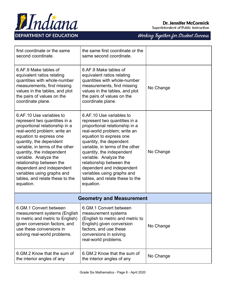

#### **Dr. Jennifer McCormick**

Superintendent of Public Instruction

| first coordinate or the same<br>second coordinate.                                                                                                                                                                                                                                                                                                                                                                | the same first coordinate or the<br>same second coordinate.                                                                                                                                                                                                                                                                                                                                                       |           |
|-------------------------------------------------------------------------------------------------------------------------------------------------------------------------------------------------------------------------------------------------------------------------------------------------------------------------------------------------------------------------------------------------------------------|-------------------------------------------------------------------------------------------------------------------------------------------------------------------------------------------------------------------------------------------------------------------------------------------------------------------------------------------------------------------------------------------------------------------|-----------|
| 6.AF.9 Make tables of<br>equivalent ratios relating<br>quantities with whole-number<br>measurements, find missing<br>values in the tables, and plot<br>the pairs of values on the<br>coordinate plane.                                                                                                                                                                                                            | 6.AF.9 Make tables of<br>equivalent ratios relating<br>quantities with whole-number<br>measurements, find missing<br>values in the tables, and plot<br>the pairs of values on the<br>coordinate plane.                                                                                                                                                                                                            | No Change |
| 6.AF.10 Use variables to<br>represent two quantities in a<br>proportional relationship in a<br>real-world problem; write an<br>equation to express one<br>quantity, the dependent<br>variable, in terms of the other<br>quantity, the independent<br>variable. Analyze the<br>relationship between the<br>dependent and independent<br>variables using graphs and<br>tables, and relate these to the<br>equation. | 6.AF.10 Use variables to<br>represent two quantities in a<br>proportional relationship in a<br>real-world problem; write an<br>equation to express one<br>quantity, the dependent<br>variable, in terms of the other<br>quantity, the independent<br>variable. Analyze the<br>relationship between the<br>dependent and independent<br>variables using graphs and<br>tables, and relate these to the<br>equation. | No Change |
| <b>Geometry and Measurement</b>                                                                                                                                                                                                                                                                                                                                                                                   |                                                                                                                                                                                                                                                                                                                                                                                                                   |           |
| 6.GM.1 Convert between<br>measurement systems (English<br>to metric and metric to English)<br>given conversion factors, and<br>use these conversions in<br>solving real-world problems.                                                                                                                                                                                                                           | 6.GM.1 Convert between<br>measurement systems<br>(English to metric and metric to<br>English) given conversion<br>factors, and use these<br>conversions in solving<br>real-world problems.                                                                                                                                                                                                                        | No Change |
| 6. GM. 2 Know that the sum of<br>the interior angles of any                                                                                                                                                                                                                                                                                                                                                       | 6. GM. 2 Know that the sum of<br>the interior angles of any                                                                                                                                                                                                                                                                                                                                                       | No Change |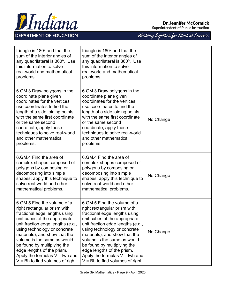

Working Together for Student Success



| triangle is 180° and that the<br>sum of the interior angles of<br>any quadrilateral is 360°. Use<br>this information to solve<br>real-world and mathematical<br>problems.                                                                                                                                             | triangle is $180^\circ$ and that the<br>sum of the interior angles of<br>any quadrilateral is 360°. Use<br>this information to solve<br>real-world and mathematical<br>problems.                                                                                                                                      |           |
|-----------------------------------------------------------------------------------------------------------------------------------------------------------------------------------------------------------------------------------------------------------------------------------------------------------------------|-----------------------------------------------------------------------------------------------------------------------------------------------------------------------------------------------------------------------------------------------------------------------------------------------------------------------|-----------|
| 6. GM.3 Draw polygons in the<br>coordinate plane given<br>coordinates for the vertices;<br>use coordinates to find the<br>length of a side joining points<br>with the same first coordinate<br>or the same second<br>coordinate; apply these<br>techniques to solve real-world<br>and other mathematical<br>problems. | 6. GM.3 Draw polygons in the<br>coordinate plane given<br>coordinates for the vertices;<br>use coordinates to find the<br>length of a side joining points<br>with the same first coordinate<br>or the same second<br>coordinate; apply these<br>techniques to solve real-world<br>and other mathematical<br>problems. | No Change |
| 6. GM. 4 Find the area of<br>complex shapes composed of<br>polygons by composing or<br>decomposing into simple<br>shapes; apply this technique to<br>solve real-world and other<br>mathematical problems.                                                                                                             | 6.GM.4 Find the area of<br>complex shapes composed of<br>polygons by composing or<br>decomposing into simple<br>shapes; apply this technique to<br>solve real-world and other<br>mathematical problems.                                                                                                               | No Change |
| 6. GM. 5 Find the volume of a<br>right rectangular prism with<br>fractional edge lengths using<br>unit cubes of the appropriate<br>unit fraction edge lengths (e.g.,<br>using technology or concrete<br>materials), and show that the<br>volume is the same as would<br>be found by multiplying the                   | 6. GM. 5 Find the volume of a<br>right rectangular prism with<br>fractional edge lengths using<br>unit cubes of the appropriate<br>unit fraction edge lengths (e.g.,<br>using technology or concrete<br>materials), and show that the<br>volume is the same as would<br>be found by multiplying the                   | No Change |

edge lengths of the prism. Apply the formulas  $V = Iwh$  and  $V = Bh$  to find volumes of right

Apply the formulas  $V = Iwh$  and  $V = Bh$  to find volumes of right

edge lengths of the prism.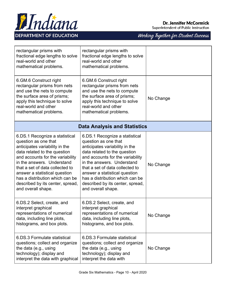

### **Dr. Jennifer McCormick**

Superintendent of Public Instruction

| rectangular prisms with<br>fractional edge lengths to solve<br>real-world and other<br>mathematical problems.                                                                                                                                                                                                                                               | rectangular prisms with<br>fractional edge lengths to solve<br>real-world and other<br>mathematical problems.                                                                                                                                                                                                                                               |           |  |
|-------------------------------------------------------------------------------------------------------------------------------------------------------------------------------------------------------------------------------------------------------------------------------------------------------------------------------------------------------------|-------------------------------------------------------------------------------------------------------------------------------------------------------------------------------------------------------------------------------------------------------------------------------------------------------------------------------------------------------------|-----------|--|
| 6. GM.6 Construct right<br>rectangular prisms from nets<br>and use the nets to compute<br>the surface area of prisms;<br>apply this technique to solve<br>real-world and other<br>mathematical problems.                                                                                                                                                    | 6. GM.6 Construct right<br>rectangular prisms from nets<br>and use the nets to compute<br>the surface area of prisms;<br>apply this technique to solve<br>real-world and other<br>mathematical problems.                                                                                                                                                    | No Change |  |
| <b>Data Analysis and Statistics</b>                                                                                                                                                                                                                                                                                                                         |                                                                                                                                                                                                                                                                                                                                                             |           |  |
| 6.DS.1 Recognize a statistical<br>question as one that<br>anticipates variability in the<br>data related to the question<br>and accounts for the variability<br>in the answers. Understand<br>that a set of data collected to<br>answer a statistical question<br>has a distribution which can be<br>described by its center, spread,<br>and overall shape. | 6.DS.1 Recognize a statistical<br>question as one that<br>anticipates variability in the<br>data related to the question<br>and accounts for the variability<br>in the answers. Understand<br>that a set of data collected to<br>answer a statistical question<br>has a distribution which can be<br>described by its center, spread,<br>and overall shape. | No Change |  |
| 6.DS.2 Select, create, and<br>interpret graphical<br>representations of numerical<br>data, including line plots,<br>histograms, and box plots.                                                                                                                                                                                                              | 6.DS.2 Select, create, and<br>interpret graphical<br>representations of numerical<br>data, including line plots,<br>histograms, and box plots.                                                                                                                                                                                                              | No Change |  |
| 6.DS.3 Formulate statistical<br>questions; collect and organize<br>the data (e.g., using<br>technology); display and<br>interpret the data with graphical                                                                                                                                                                                                   | 6.DS.3 Formulate statistical<br>questions; collect and organize<br>the data (e.g., using<br>technology); display and<br>interpret the data with                                                                                                                                                                                                             | No Change |  |